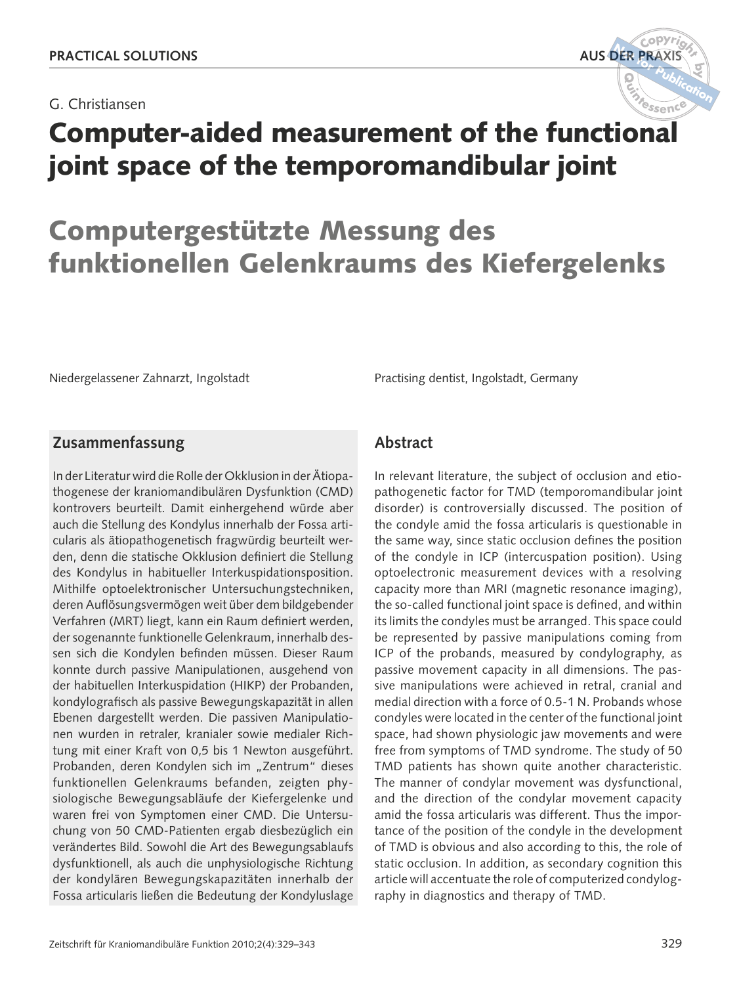G. Christiansen



# Computergestützte Messung des funktionellen Gelenkraums des Kiefergelenks

Niedergelassener Zahnarzt, Ingolstadt Practising dentist, Ingolstadt, Germany

## **Zusammenfassung**

In der Literatur wird die Rolle der Okklusion in der Ätiopathogenese der kraniomandibulären Dysfunktion (CMD) kontrovers beurteilt. Damit einhergehend würde aber auch die Stellung des Kondylus innerhalb der Fossa articularis als ätiopathogenetisch fragwürdig beurteilt werden, denn die statische Okklusion definiert die Stellung des Kondylus in habitueller Interkuspidationsposition. Mithilfe optoelektronischer Untersuchungstechniken, deren Auflösungsvermögen weit über dem bildgebender Verfahren (MRT) liegt, kann ein Raum definiert werden, der sogenannte funktionelle Gelenkraum, innerhalb dessen sich die Kondylen befinden müssen. Dieser Raum konnte durch passive Manipulationen, ausgehend von der habituellen Interkuspidation (HIKP) der Probanden, kondylografisch als passive Bewegungskapazität in allen Ebenen dargestellt werden. Die passiven Manipulationen wurden in retraler, kranialer sowie medialer Richtung mit einer Kraft von 0,5 bis 1 Newton ausgeführt. Probanden, deren Kondylen sich im "Zentrum" dieses funktionellen Gelenkraums befanden, zeigten physiologische Bewegungsabläufe der Kiefergelenke und waren frei von Symptomen einer CMD. Die Untersuchung von 50 CMD-Patienten ergab diesbezüglich ein verändertes Bild. Sowohl die Art des Bewegungsablaufs dysfunktionell, als auch die unphysiologische Richtung der kondylären Bewegungskapazitäten innerhalb der Fossa articularis ließen die Bedeutung der Kondyluslage

## **Abstract**

In relevant literature, the subject of occlusion and etiopathogenetic factor for TMD (temporomandibular joint disorder) is controversially discussed. The position of the condyle amid the fossa articularis is questionable in the same way, since static occlusion defines the position of the condyle in ICP (intercuspation position). Using optoelectronic measurement devices with a resolving capacity more than MRI (magnetic resonance imaging), the so-called functional joint space is defined, and within its limits the condyles must be arranged. This space could be represented by passive manipulations coming from ICP of the probands, measured by condylography, as passive movement capacity in all dimensions. The passive manipulations were achieved in retral, cranial and medial direction with a force of 0.5-1 N. Probands whose condyles were located in the center of the functional joint space, had shown physiologic jaw movements and were free from symptoms of TMD syndrome. The study of 50 TMD patients has shown quite another characteristic. The manner of condylar movement was dysfunctional, and the direction of the condylar movement capacity amid the fossa articularis was different. Thus the importance of the position of the condyle in the development of TMD is obvious and also according to this, the role of static occlusion. In addition, as secondary cognition this article will accentuate the role of computerized condylography in diagnostics and therapy of TMD.

 $\frac{C^{\text{opy}r}i_{\mathcal{G}}\lambda}{\text{DER PRAXIS}}$ 

 **for**

**by**

 **Publication**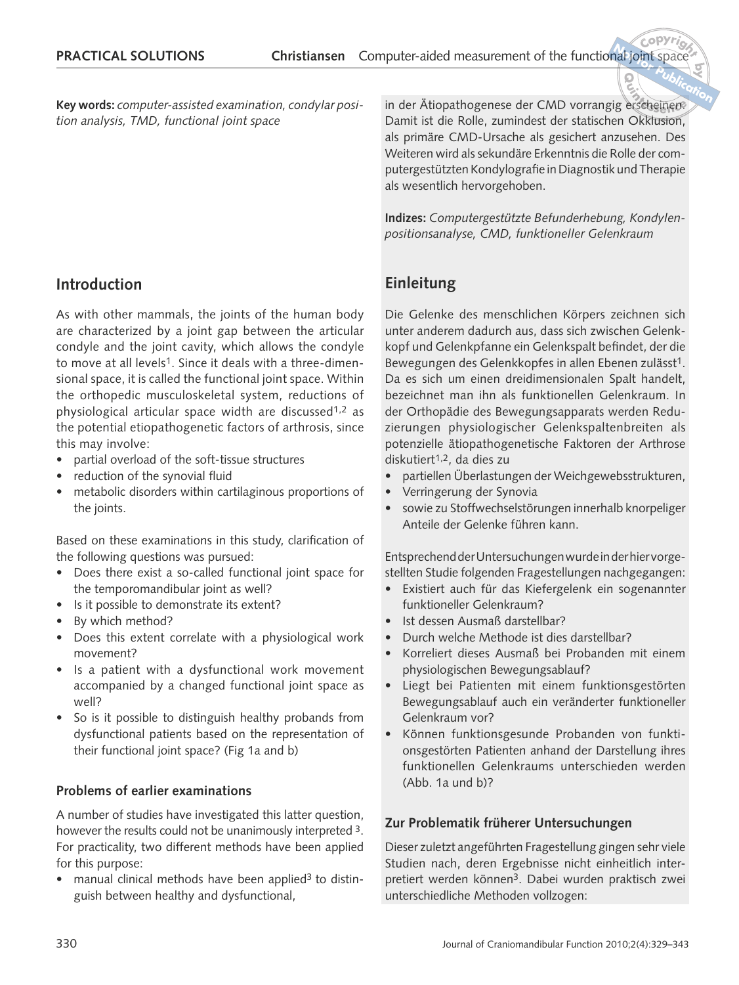**Key words:** *computer-assisted examination, condylar position analysis, TMD, functional joint space*

# **Introduction**

As with other mammals, the joints of the human body are characterized by a joint gap between the articular condyle and the joint cavity, which allows the condyle to move at all levels<sup>1</sup>. Since it deals with a three-dimensional space, it is called the functional joint space. Within the orthopedic musculoskeletal system, reductions of physiological articular space width are discussed<sup>1,2</sup> as the potential etiopathogenetic factors of arthrosis, since this may involve:

- partial overload of the soft-tissue structures
- reduction of the synovial fluid
- metabolic disorders within cartilaginous proportions of the joints.

Based on these examinations in this study, clarification of the following questions was pursued:

- Does there exist a so-called functional joint space for the temporomandibular joint as well?
- Is it possible to demonstrate its extent?
- By which method?
- Does this extent correlate with a physiological work movement?
- Is a patient with a dysfunctional work movement accompanied by a changed functional joint space as well?
- So is it possible to distinguish healthy probands from dysfunctional patients based on the representation of their functional joint space? (Fig 1a and b)

#### **Problems of earlier examinations**

A number of studies have investigated this latter question, however the results could not be unanimously interpreted 3. For practicality, two different methods have been applied for this purpose:

manual clinical methods have been applied<sup>3</sup> to distinguish between healthy and dysfunctional,

**in der Ätiopathogenese der CMD vorrangig erscheinen.** Damit ist die Rolle, zumindest der statischen Okklusion, als primäre CMD-Ursache als gesichert anzusehen. Des Weiteren wird als sekundäre Erkenntnis die Rolle der computergestützten Kondylografie in Diagnostik und Therapie als wesentlich hervorgehoben.  **Publication**

**by**

**Indizes:** *Computergestützte Befunderhebung, Kondylenpositionsanalyse, CMD, funktioneller Gelenkraum* 

# **Einleitung**

Die Gelenke des menschlichen Körpers zeichnen sich unter anderem dadurch aus, dass sich zwischen Gelenkkopf und Gelenkpfanne ein Gelenkspalt befindet, der die Bewegungen des Gelenkkopfes in allen Ebenen zulässt<sup>1</sup>. Da es sich um einen dreidimensionalen Spalt handelt, bezeichnet man ihn als funktionellen Gelenkraum. In der Orthopädie des Bewegungsapparats werden Reduzierungen physiologischer Gelenkspaltenbreiten als potenzielle ätiopathogenetische Faktoren der Arthrose diskutiert1,2, da dies zu

- partiellen Überlastungen der Weichgewebsstrukturen,
- Verringerung der Synovia
- sowie zu Stoffwechselstörungen innerhalb knorpeliger Anteile der Gelenke führen kann.

Entsprechend der Untersuchungen wurde in der hier vorgestellten Studie folgenden Fragestellungen nachgegangen:

- Existiert auch für das Kiefergelenk ein sogenannter funktioneller Gelenkraum?
- Ist dessen Ausmaß darstellbar?
- Durch welche Methode ist dies darstellbar?
- Korreliert dieses Ausmaß bei Probanden mit einem physiologischen Bewegungsablauf?
- Liegt bei Patienten mit einem funktionsgestörten Bewegungsablauf auch ein veränderter funktioneller Gelenkraum vor?
- Können funktionsgesunde Probanden von funktionsgestörten Patienten anhand der Darstellung ihres funktionellen Gelenkraums unterschieden werden (Abb. 1a und b)?

#### **Zur Problematik früherer Untersuchungen**

Dieser zuletzt angeführten Fragestellung gingen sehr viele Studien nach, deren Ergebnisse nicht einheitlich interpretiert werden können3. Dabei wurden praktisch zwei unterschiedliche Methoden vollzogen: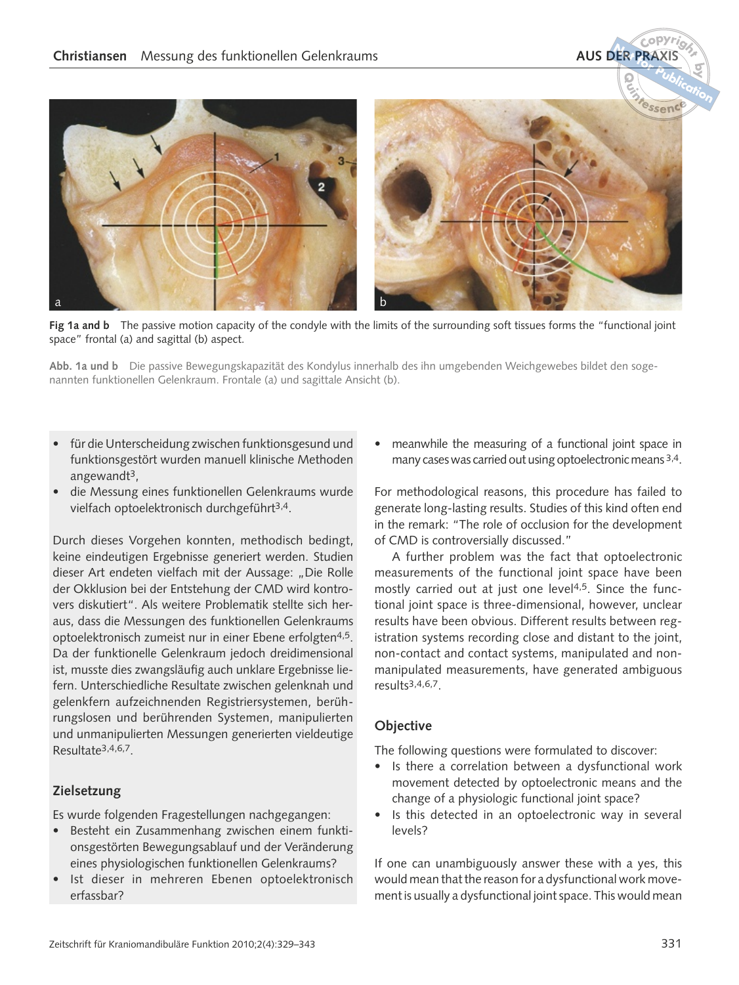a banda barat da banda banda banda banda banda banda banda banda banda banda banda banda banda banda banda ba **<sup>N</sup>o<sup>t</sup> <sup>r</sup> <sup>o</sup>f <sup>Q</sup>uintessenc<sup>e</sup> Publication**

Fig 1a and b The passive motion capacity of the condyle with the limits of the surrounding soft tissues forms the "functional joint space" frontal (a) and sagittal (b) aspect.

**Abb. 1a und b** Die passive Bewegungskapazität des Kondylus innerhalb des ihn umgebenden Weichgewebes bildet den sogenannten funktionellen Gelenkraum. Frontale (a) und sagittale Ansicht (b).

- für die Unterscheidung zwischen funktionsgesund und funktionsgestört wurden manuell klinische Methoden angewandt3,
- die Messung eines funktionellen Gelenkraums wurde vielfach optoelektronisch durchgeführt3,4.

Durch dieses Vorgehen konnten, methodisch bedingt, keine eindeutigen Ergebnisse generiert werden. Studien dieser Art endeten vielfach mit der Aussage: "Die Rolle der Okklusion bei der Entstehung der CMD wird kontrovers diskutiert". Als weitere Problematik stellte sich heraus, dass die Messungen des funktionellen Gelenkraums optoelektronisch zumeist nur in einer Ebene erfolgten4,5. Da der funktionelle Gelenkraum jedoch dreidimensional ist, musste dies zwangsläufig auch unklare Ergebnisse liefern. Unterschiedliche Resultate zwischen gelenknah und gelenkfern aufzeichnenden Registriersystemen, berührungslosen und berührenden Systemen, manipulierten und unmanipulierten Messungen generierten vieldeutige Resultate3,4,6,7.

#### **Zielsetzung**

Es wurde folgenden Fragestellungen nachgegangen:

- Besteht ein Zusammenhang zwischen einem funktionsgestörten Bewegungsablauf und der Veränderung eines physiologischen funktionellen Gelenkraums?
- Ist dieser in mehreren Ebenen optoelektronisch erfassbar?

• meanwhile the measuring of a functional joint space in many cases was carried out using optoelectronic means 3,4.

For methodological reasons, this procedure has failed to generate long-lasting results. Studies of this kind often end in the remark: "The role of occlusion for the development of CMD is controversially discussed."

A further problem was the fact that optoelectronic measurements of the functional joint space have been mostly carried out at just one level<sup>4,5</sup>. Since the functional joint space is three-dimensional, however, unclear results have been obvious. Different results between registration systems recording close and distant to the joint, non-contact and contact systems, manipulated and nonmanipulated measurements, have generated ambiguous results3,4,6,7.

#### **Objective**

The following questions were formulated to discover:

- Is there a correlation between a dysfunctional work movement detected by optoelectronic means and the change of a physiologic functional joint space?
- Is this detected in an optoelectronic way in several levels?

If one can unambiguously answer these with a yes, this would mean that the reason for a dysfunctional work movement is usually a dysfunctional joint space. This would mean

 $\frac{C^o P Y r}{\sigma}$ 

 **for**

**by**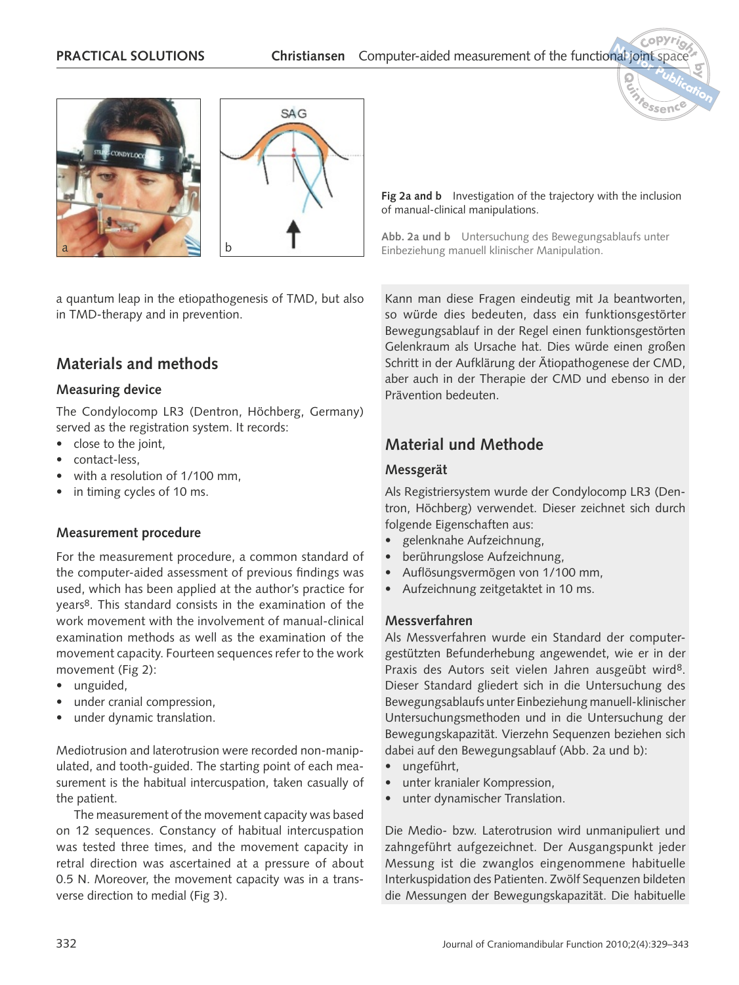



a quantum leap in the etiopathogenesis of TMD, but also in TMD-therapy and in prevention.

# **Materials and methods**

#### **Measuring device**

The Condylocomp LR3 (Dentron, Höchberg, Germany) served as the registration system. It records:

- close to the joint,
- contact-less,
- with a resolution of 1/100 mm,
- in timing cycles of 10 ms.

#### **Measurement procedure**

For the measurement procedure, a common standard of the computer-aided assessment of previous findings was used, which has been applied at the author's practice for years8. This standard consists in the examination of the work movement with the involvement of manual-clinical examination methods as well as the examination of the movement capacity. Fourteen sequences refer to the work movement (Fig 2):

- unguided,
- under cranial compression,
- under dynamic translation.

Mediotrusion and laterotrusion were recorded non-manipulated, and tooth-guided. The starting point of each measurement is the habitual intercuspation, taken casually of the patient.

The measurement of the movement capacity was based on 12 sequences. Constancy of habitual intercuspation was tested three times, and the movement capacity in retral direction was ascertained at a pressure of about 0.5 N. Moreover, the movement capacity was in a transverse direction to medial (Fig 3).

**Fig 2a and b** Investigation of the trajectory with the inclusion of manual-clinical manipulations.

**by**

 **Publication**

**<sup>N</sup>o<sup>t</sup> <sup>r</sup> <sup>o</sup>f <sup>Q</sup>uintessenc<sup>e</sup>**

**Abb. 2a und b** Untersuchung des Bewegungsablaufs unter Einbeziehung manuell klinischer Manipulation.

Kann man diese Fragen eindeutig mit Ja beantworten, so würde dies bedeuten, dass ein funktionsgestörter Bewegungsablauf in der Regel einen funktionsgestörten Gelenkraum als Ursache hat. Dies würde einen großen Schritt in der Aufklärung der Ätiopathogenese der CMD, aber auch in der Therapie der CMD und ebenso in der Prävention bedeuten.

# **Material und Methode**

#### **Messgerät**

Als Registriersystem wurde der Condylocomp LR3 (Dentron, Höchberg) verwendet. Dieser zeichnet sich durch folgende Eigenschaften aus:

- gelenknahe Aufzeichnung,
- berührungslose Aufzeichnung,
- Auflösungsvermögen von 1/100 mm,
- Aufzeichnung zeitgetaktet in 10 ms.

#### **Messverfahren**

Als Messverfahren wurde ein Standard der computergestützten Befunderhebung angewendet, wie er in der Praxis des Autors seit vielen Jahren ausgeübt wird<sup>8</sup>. Dieser Standard gliedert sich in die Untersuchung des Bewegungsablaufs unter Einbeziehung manuell-klinischer Untersuchungsmethoden und in die Untersuchung der Bewegungskapazität. Vierzehn Sequenzen beziehen sich dabei auf den Bewegungsablauf (Abb. 2a und b):

- ungeführt,
- unter kranialer Kompression,
- unter dynamischer Translation.

Die Medio- bzw. Laterotrusion wird unmanipuliert und zahngeführt aufgezeichnet. Der Ausgangspunkt jeder Messung ist die zwanglos eingenommene habituelle Interkuspidation des Patienten. Zwölf Sequenzen bildeten die Messungen der Bewegungskapazität. Die habituelle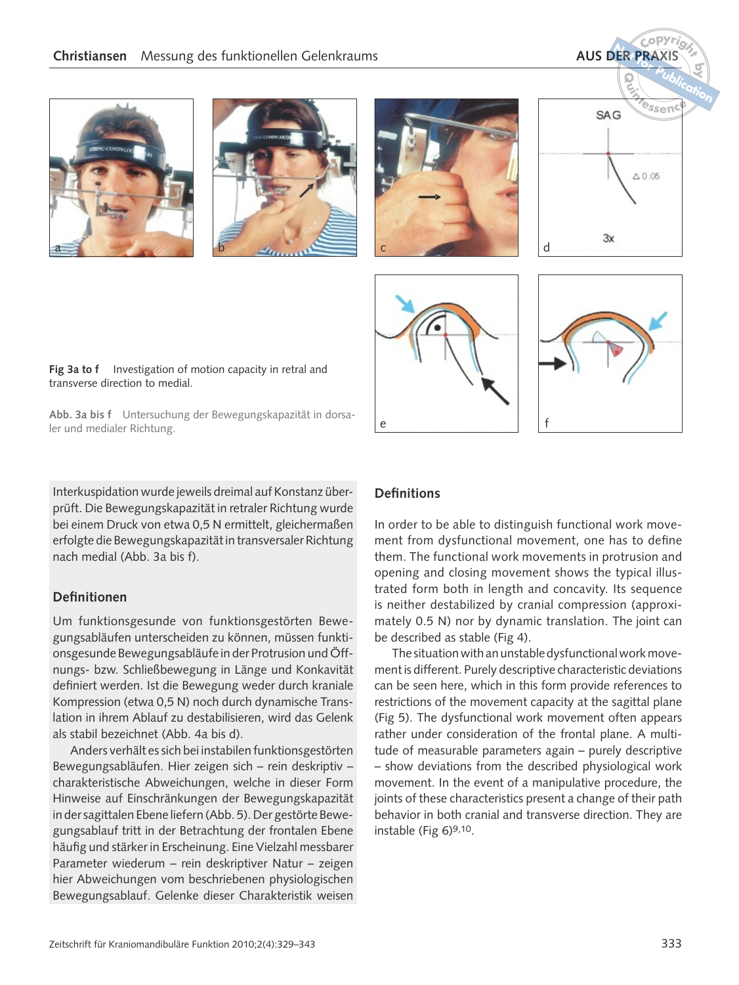$\frac{C^o P Y r}{\sigma}$ 













Fig 3a to f Investigation of motion capacity in retral and transverse direction to medial.

**Abb. 3a bis f** Untersuchung der Bewegungskapazität in dorsaler und medialer Richtung.

Interkuspidation wurde jeweils dreimal auf Konstanz überprüft. Die Bewegungskapazität in retraler Richtung wurde bei einem Druck von etwa 0,5 N ermittelt, gleichermaßen erfolgte die Bewegungskapazität in transversaler Richtung nach medial (Abb. 3a bis f).

#### **Definitionen**

Um funktionsgesunde von funktionsgestörten Bewegungsabläufen unterscheiden zu können, müssen funktionsgesunde Bewegungsabläufe in der Protrusion und Öffnungs- bzw. Schließbewegung in Länge und Konkavität definiert werden. Ist die Bewegung weder durch kraniale Kompression (etwa 0,5 N) noch durch dynamische Translation in ihrem Ablauf zu destabilisieren, wird das Gelenk als stabil bezeichnet (Abb. 4a bis d).

Anders verhält es sich bei instabilen funktionsgestörten Bewegungsabläufen. Hier zeigen sich – rein deskriptiv – charakteristische Abweichungen, welche in dieser Form Hinweise auf Einschränkungen der Bewegungskapazität in der sagittalen Ebene liefern (Abb. 5). Der gestörte Bewegungsablauf tritt in der Betrachtung der frontalen Ebene häufig und stärker in Erscheinung. Eine Vielzahl messbarer Parameter wiederum – rein deskriptiver Natur – zeigen hier Abweichungen vom beschriebenen physiologischen Bewegungsablauf. Gelenke dieser Charakteristik weisen

#### **Definitions**

In order to be able to distinguish functional work movement from dysfunctional movement, one has to define them. The functional work movements in protrusion and opening and closing movement shows the typical illustrated form both in length and concavity. Its sequence is neither destabilized by cranial compression (approximately 0.5 N) nor by dynamic translation. The joint can be described as stable (Fig 4).

The situation with an unstable dysfunctional work movement is different. Purely descriptive characteristic deviations can be seen here, which in this form provide references to restrictions of the movement capacity at the sagittal plane (Fig 5). The dysfunctional work movement often appears rather under consideration of the frontal plane. A multitude of measurable parameters again – purely descriptive – show deviations from the described physiological work movement. In the event of a manipulative procedure, the joints of these characteristics present a change of their path behavior in both cranial and transverse direction. They are instable (Fig  $6$ )<sup>9,10</sup>.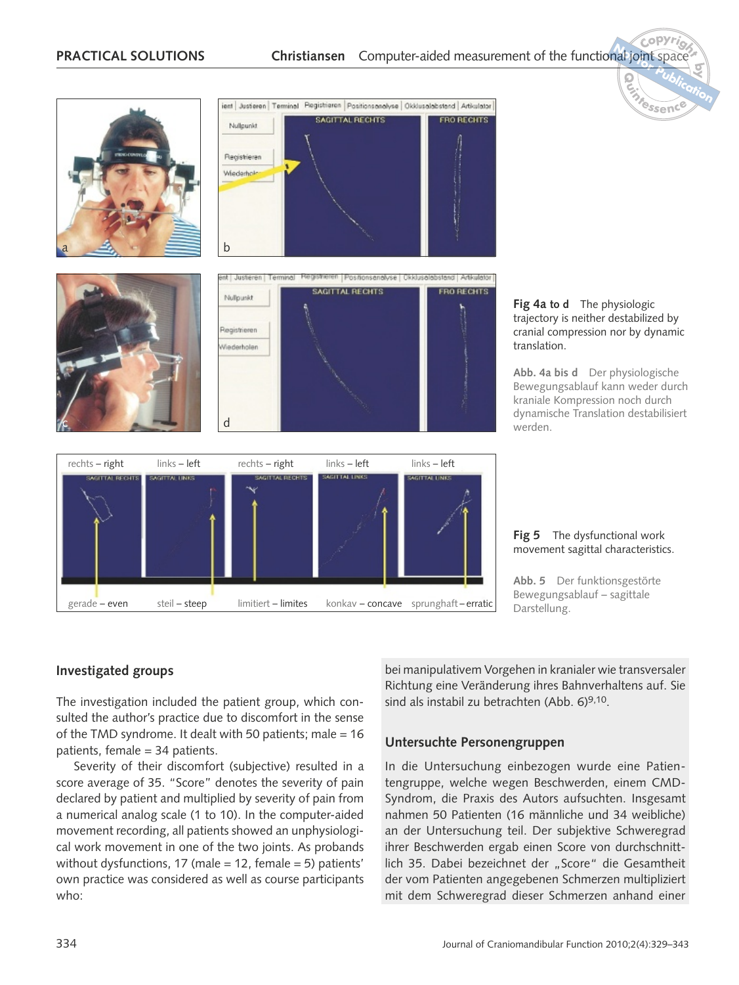

# cranial compression nor by dynamic

**by**

**Abb. 4a bis d** Der physiologische Bewegungsablauf kann weder durch kraniale Kompression noch durch dynamische Translation destabilisiert

**Fig 5** The dysfunctional work movement sagittal characteristics.

**Abb. 5** Der funktionsgestörte Bewegungsablauf – sagittale

#### **Investigated groups**

The investigation included the patient group, which consulted the author's practice due to discomfort in the sense of the TMD syndrome. It dealt with 50 patients; male = 16 patients, female = 34 patients.

Severity of their discomfort (subjective) resulted in a score average of 35. "Score" denotes the severity of pain declared by patient and multiplied by severity of pain from a numerical analog scale (1 to 10). In the computer-aided movement recording, all patients showed an unphysiological work movement in one of the two joints. As probands without dysfunctions, 17 (male = 12, female = 5) patients' own practice was considered as well as course participants who:

bei manipulativem Vorgehen in kranialer wie transversaler Richtung eine Veränderung ihres Bahnverhaltens auf. Sie sind als instabil zu betrachten (Abb. 6)9,10.

#### **Untersuchte Personengruppen**

In die Untersuchung einbezogen wurde eine Patientengruppe, welche wegen Beschwerden, einem CMD-Syndrom, die Praxis des Autors aufsuchten. Insgesamt nahmen 50 Patienten (16 männliche und 34 weibliche) an der Untersuchung teil. Der subjektive Schweregrad ihrer Beschwerden ergab einen Score von durchschnittlich 35. Dabei bezeichnet der "Score" die Gesamtheit der vom Patienten angegebenen Schmerzen multipliziert mit dem Schweregrad dieser Schmerzen anhand einer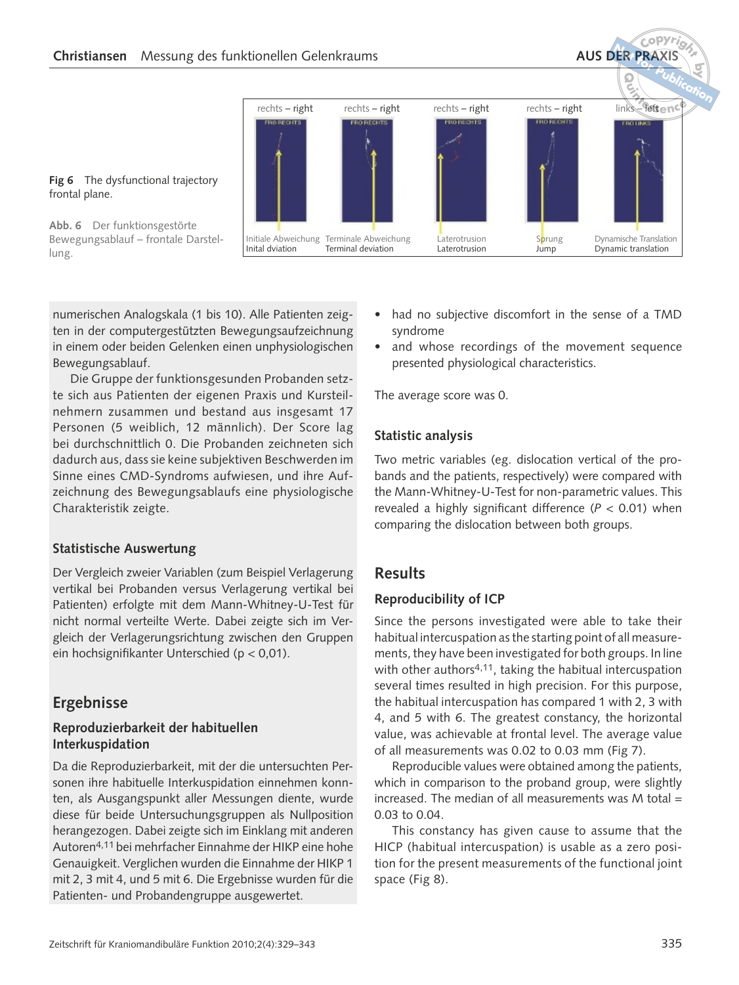**PublicationD**<br>**R**<br>**R**<br>**R**<br>**R** rechts – right rechts – right rechts – right rechts – right **BROTHER** Initiale Abweichung Terminale Abweichung Laterotrusion Sprung Dynamische Translation<br>Inital dviation Terminal deviation Laterotrusion Jump Dynamic translation Dynamic translation

**Fig 6** The dysfunctional trajectory frontal plane.

**Abb. 6** Der funktionsgestörte Bewegungsablauf – frontale Darstellung.

numerischen Analogskala (1 bis 10). Alle Patienten zeigten in der computergestützten Bewegungsaufzeichnung in einem oder beiden Gelenken einen unphysiologischen Bewegungsablauf.

Die Gruppe der funktionsgesunden Probanden setzte sich aus Patienten der eigenen Praxis und Kursteilnehmern zusammen und bestand aus insgesamt 17 Personen (5 weiblich, 12 männlich). Der Score lag bei durchschnittlich 0. Die Probanden zeichneten sich dadurch aus, dass sie keine subjektiven Beschwerden im Sinne eines CMD-Syndroms aufwiesen, und ihre Aufzeichnung des Bewegungsablaufs eine physiologische Charakteristik zeigte.

#### **Statistische Auswertung**

Der Vergleich zweier Variablen (zum Beispiel Verlagerung vertikal bei Probanden versus Verlagerung vertikal bei Patienten) erfolgte mit dem Mann-Whitney-U-Test für nicht normal verteilte Werte. Dabei zeigte sich im Vergleich der Verlagerungsrichtung zwischen den Gruppen ein hochsignifikanter Unterschied (p < 0,01).

# **Ergebnisse**

#### **Reproduzierbarkeit der habituellen Interkuspidation**

Da die Reproduzierbarkeit, mit der die untersuchten Personen ihre habituelle Interkuspidation einnehmen konnten, als Ausgangspunkt aller Messungen diente, wurde diese für beide Untersuchungsgruppen als Nullposition herangezogen. Dabei zeigte sich im Einklang mit anderen Autoren4,11 bei mehrfacher Einnahme der HIKP eine hohe Genauigkeit. Verglichen wurden die Einnahme der HIKP 1 mit 2, 3 mit 4, und 5 mit 6. Die Ergebnisse wurden für die Patienten- und Probandengruppe ausgewertet.

had no subjective discomfort in the sense of a TMD syndrome

 $\frac{C^o P Y r}{\sigma}$ 

 **for**

**by**

• and whose recordings of the movement sequence presented physiological characteristics.

The average score was 0.

#### **Statistic analysis**

Two metric variables (eg. dislocation vertical of the probands and the patients, respectively) were compared with the Mann-Whitney-U-Test for non-parametric values. This revealed a highly significant difference (*P* < 0.01) when comparing the dislocation between both groups.

# **Results**

#### **Reproducibility of ICP**

Since the persons investigated were able to take their habitual intercuspation as the starting point of all measurements, they have been investigated for both groups. In line with other authors<sup>4,11</sup>, taking the habitual intercuspation several times resulted in high precision. For this purpose, the habitual intercuspation has compared 1 with 2, 3 with 4, and 5 with 6. The greatest constancy, the horizontal value, was achievable at frontal level. The average value of all measurements was 0.02 to 0.03 mm (Fig 7).

Reproducible values were obtained among the patients, which in comparison to the proband group, were slightly increased. The median of all measurements was  $M$  total  $=$ 0.03 to 0.04.

This constancy has given cause to assume that the HICP (habitual intercuspation) is usable as a zero position for the present measurements of the functional joint space (Fig 8).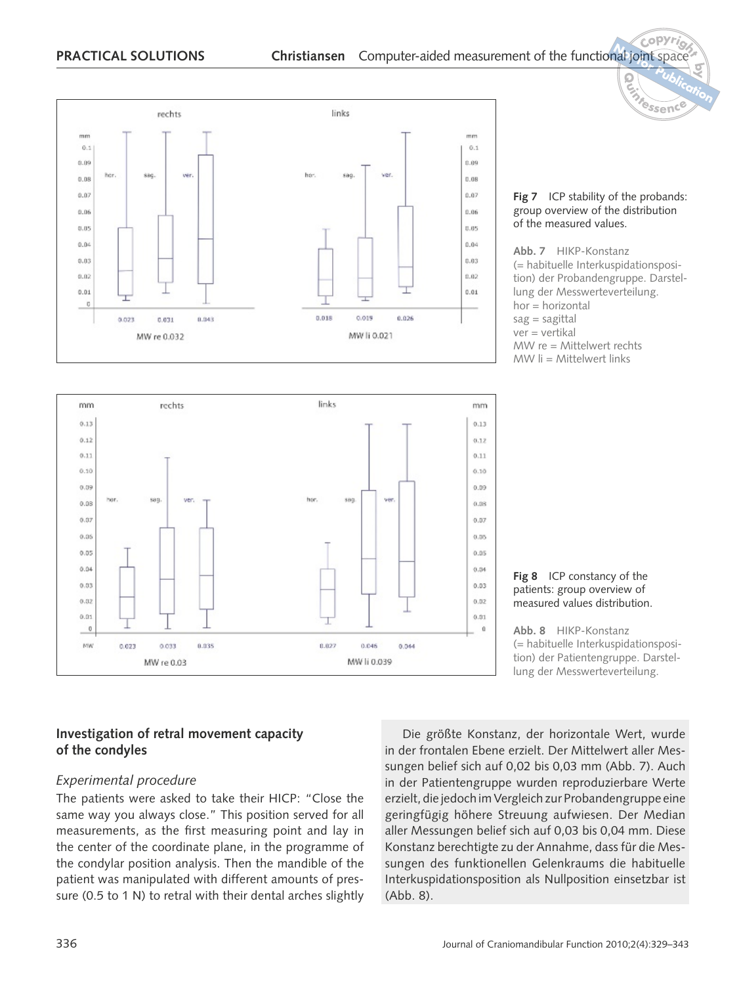



#### **Fig 7** ICP stability of the probands: group overview of the distribution of the measured values.

**by**

**<sup>N</sup>o<sup>t</sup> <sup>r</sup> <sup>o</sup>f <sup>Q</sup>uintessenc<sup>e</sup> Publication**

**Abb. 7** HIKP-Konstanz (= habituelle Interkuspidationsposition) der Probandengruppe. Darstellung der Messwerteverteilung. hor = horizontal  $sag = sagittal$ ver = vertikal MW re = Mittelwert rechts  $MW$   $\parallel$  = Mittelwert links



**Abb. 8** HIKP-Konstanz (= habituelle Interkuspidationsposition) der Patientengruppe. Darstellung der Messwerteverteilung.

#### **Investigation of retral movement capacity of the condyles**

#### *Experimental procedure*

The patients were asked to take their HICP: "Close the same way you always close." This position served for all measurements, as the first measuring point and lay in the center of the coordinate plane, in the programme of the condylar position analysis. Then the mandible of the patient was manipulated with different amounts of pressure (0.5 to 1 N) to retral with their dental arches slightly

Die größte Konstanz, der horizontale Wert, wurde in der frontalen Ebene erzielt. Der Mittelwert aller Messungen belief sich auf 0,02 bis 0,03 mm (Abb. 7). Auch in der Patientengruppe wurden reproduzierbare Werte erzielt, die jedoch im Vergleich zur Probandengruppe eine geringfügig höhere Streuung aufwiesen. Der Median aller Messungen belief sich auf 0,03 bis 0,04 mm. Diese Konstanz berechtigte zu der Annahme, dass für die Messungen des funktionellen Gelenkraums die habituelle Interkuspidationsposition als Nullposition einsetzbar ist (Abb. 8).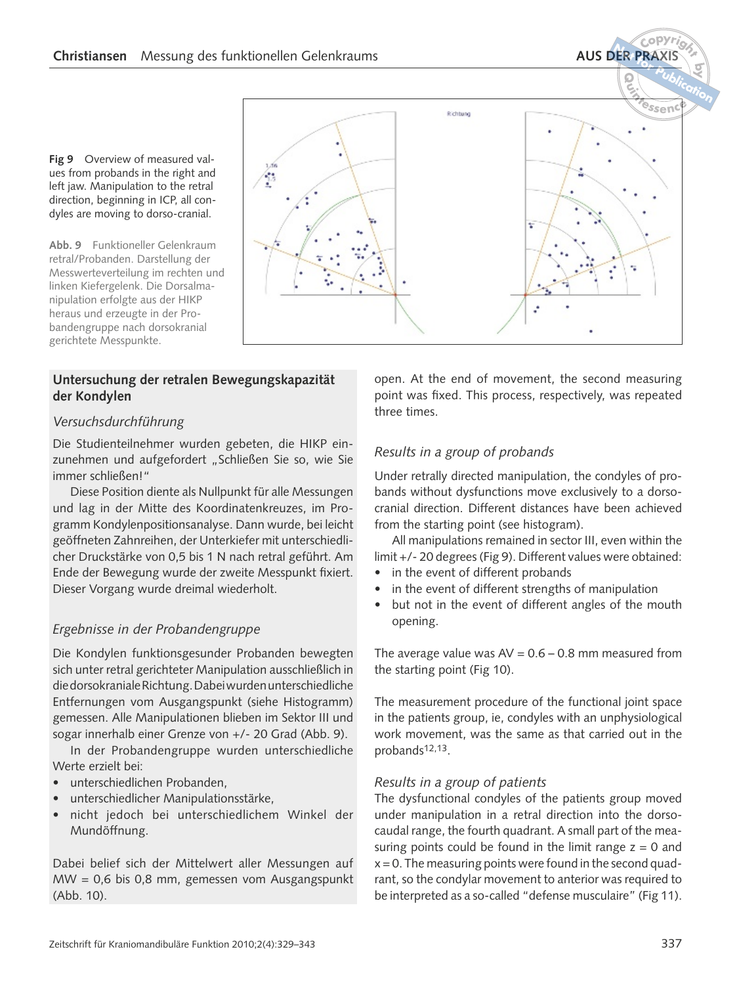$\frac{C^o P Y r}{\sigma}$  **for**

**by**

 **Publication**

**<sup>N</sup>o<sup>t</sup> <sup>r</sup> <sup>o</sup>f <sup>Q</sup>uintessenc<sup>e</sup>**

**Fig 9** Overview of measured values from probands in the right and left jaw. Manipulation to the retral direction, beginning in ICP, all condyles are moving to dorso-cranial.

**Abb. 9** Funktioneller Gelenkraum retral/Probanden. Darstellung der Messwerteverteilung im rechten und linken Kiefergelenk. Die Dorsalmanipulation erfolgte aus der HIKP heraus und erzeugte in der Probandengruppe nach dorsokranial gerichtete Messpunkte.

#### **Untersuchung der retralen Bewegungskapazität der Kondylen**

#### *Versuchsdurchführung*

Die Studienteilnehmer wurden gebeten, die HIKP einzunehmen und aufgefordert "Schließen Sie so, wie Sie immer schließen!"

Diese Position diente als Nullpunkt für alle Messungen und lag in der Mitte des Koordinatenkreuzes, im Programm Kondylenpositionsanalyse. Dann wurde, bei leicht geöffneten Zahnreihen, der Unterkiefer mit unterschiedlicher Druckstärke von 0,5 bis 1 N nach retral geführt. Am Ende der Bewegung wurde der zweite Messpunkt fixiert. Dieser Vorgang wurde dreimal wiederholt.

#### *Ergebnisse in der Probandengruppe*

Die Kondylen funktionsgesunder Probanden bewegten sich unter retral gerichteter Manipulation ausschließlich in die dorsokraniale Richtung. Dabei wurden unterschiedliche Entfernungen vom Ausgangspunkt (siehe Histogramm) gemessen. Alle Manipulationen blieben im Sektor III und sogar innerhalb einer Grenze von +/- 20 Grad (Abb. 9).

In der Probandengruppe wurden unterschiedliche Werte erzielt bei:

- unterschiedlichen Probanden,
- unterschiedlicher Manipulationsstärke,
- nicht jedoch bei unterschiedlichem Winkel der Mundöffnung.

Dabei belief sich der Mittelwert aller Messungen auf MW = 0,6 bis 0,8 mm, gemessen vom Ausgangspunkt (Abb. 10).

×,

Richtung

open. At the end of movement, the second measuring point was fixed. This process, respectively, was repeated three times.

#### *Results in a group of probands*

Under retrally directed manipulation, the condyles of probands without dysfunctions move exclusively to a dorsocranial direction. Different distances have been achieved from the starting point (see histogram).

All manipulations remained in sector III, even within the limit +/- 20 degrees (Fig 9). Different values were obtained:

- in the event of different probands
- in the event of different strengths of manipulation
- but not in the event of different angles of the mouth opening.

The average value was  $AV = 0.6 - 0.8$  mm measured from the starting point (Fig 10).

The measurement procedure of the functional joint space in the patients group, ie, condyles with an unphysiological work movement, was the same as that carried out in the probands12,13.

#### *Results in a group of patients*

The dysfunctional condyles of the patients group moved under manipulation in a retral direction into the dorsocaudal range, the fourth quadrant. A small part of the measuring points could be found in the limit range  $z = 0$  and  $x = 0$ . The measuring points were found in the second quadrant, so the condylar movement to anterior was required to be interpreted as a so-called "defense musculaire" (Fig 11).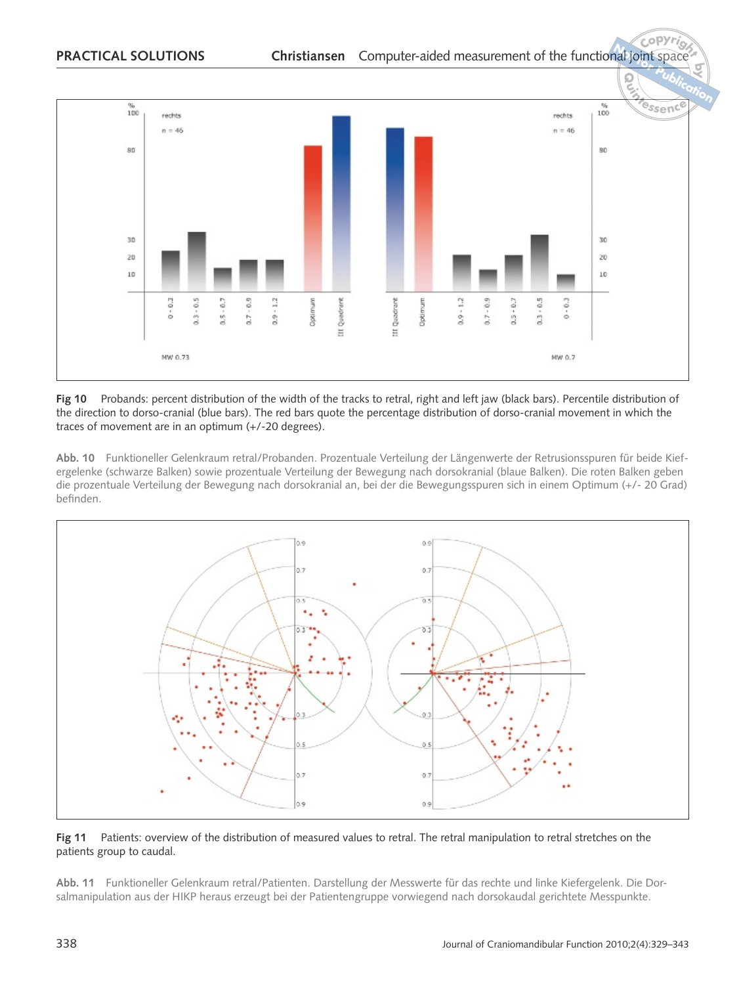

Fig 10 Probands: percent distribution of the width of the tracks to retral, right and left jaw (black bars). Percentile distribution of the direction to dorso-cranial (blue bars). The red bars quote the percentage distribution of dorso-cranial movement in which the traces of movement are in an optimum (+/-20 degrees).

**Abb. 10** Funktioneller Gelenkraum retral/Probanden. Prozentuale Verteilung der Längenwerte der Retrusionsspuren für beide Kiefergelenke (schwarze Balken) sowie prozentuale Verteilung der Bewegung nach dorsokranial (blaue Balken). Die roten Balken geben die prozentuale Verteilung der Bewegung nach dorsokranial an, bei der die Bewegungsspuren sich in einem Optimum (+/- 20 Grad) befinden.



#### **Fig 11** Patients: overview of the distribution of measured values to retral. The retral manipulation to retral stretches on the patients group to caudal.

**Abb. 11** Funktioneller Gelenkraum retral/Patienten. Darstellung der Messwerte für das rechte und linke Kiefergelenk. Die Dorsalmanipulation aus der HIKP heraus erzeugt bei der Patientengruppe vorwiegend nach dorsokaudal gerichtete Messpunkte.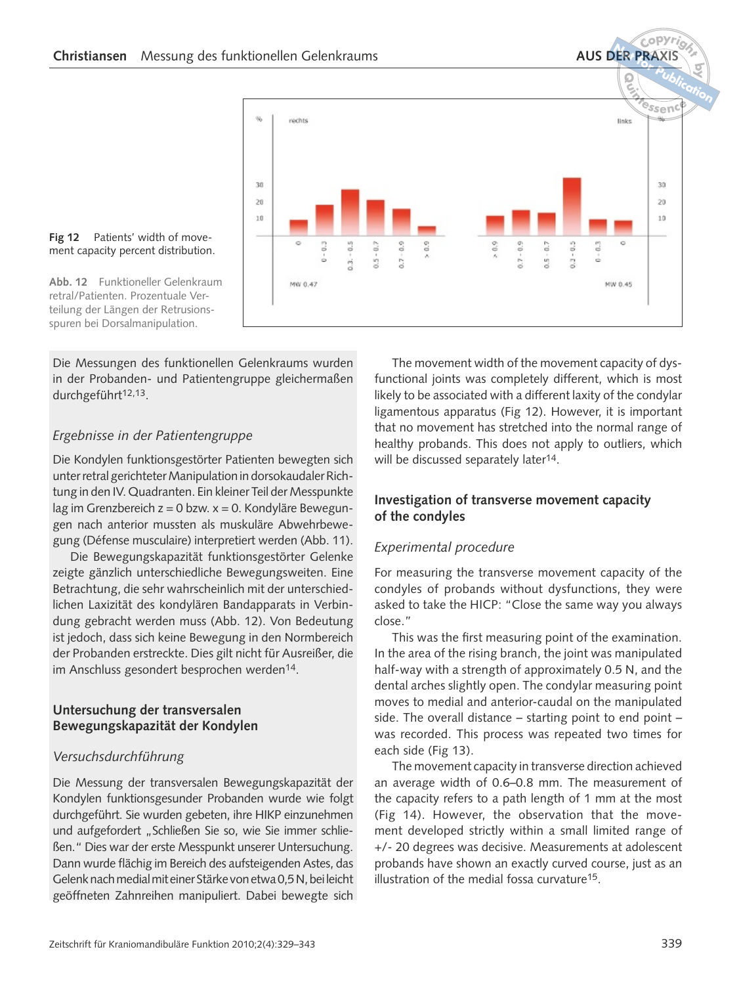

#### **Fig 12** Patients' width of movement capacity percent distribution.

**Abb. 12** Funktioneller Gelenkraum retral/Patienten. Prozentuale Verteilung der Längen der Retrusionsspuren bei Dorsalmanipulation.

Die Messungen des funktionellen Gelenkraums wurden in der Probanden- und Patientengruppe gleichermaßen durchgeführt<sup>12,13</sup>.

#### *Ergebnisse in der Patientengruppe*

Die Kondylen funktionsgestörter Patienten bewegten sich unter retral gerichteter Manipulation in dorsokaudaler Richtung in den IV. Quadranten. Ein kleiner Teil der Messpunkte lag im Grenzbereich z = 0 bzw. x = 0. Kondyläre Bewegungen nach anterior mussten als muskuläre Abwehrbewegung (Défense musculaire) interpretiert werden (Abb. 11).

Die Bewegungskapazität funktionsgestörter Gelenke zeigte gänzlich unterschiedliche Bewegungsweiten. Eine Betrachtung, die sehr wahrscheinlich mit der unterschiedlichen Laxizität des kondylären Bandapparats in Verbindung gebracht werden muss (Abb. 12). Von Bedeutung ist jedoch, dass sich keine Bewegung in den Normbereich der Probanden erstreckte. Dies gilt nicht für Ausreißer, die im Anschluss gesondert besprochen werden<sup>14</sup>.

#### **Untersuchung der transversalen Bewegungskapazität der Kondylen**

#### *Versuchsdurchführung*

Die Messung der transversalen Bewegungskapazität der Kondylen funktionsgesunder Probanden wurde wie folgt durchgeführt. Sie wurden gebeten, ihre HIKP einzunehmen und aufgefordert "Schließen Sie so, wie Sie immer schließen." Dies war der erste Messpunkt unserer Untersuchung. Dann wurde flächig im Bereich des aufsteigenden Astes, das Gelenk nach medial mit einer Stärke von etwa 0,5 N, bei leicht geöffneten Zahnreihen manipuliert. Dabei bewegte sich

The movement width of the movement capacity of dysfunctional joints was completely different, which is most likely to be associated with a different laxity of the condylar ligamentous apparatus (Fig 12). However, it is important that no movement has stretched into the normal range of healthy probands. This does not apply to outliers, which will be discussed separately later<sup>14</sup>.

#### **Investigation of transverse movement capacity of the condyles**

#### *Experimental procedure*

For measuring the transverse movement capacity of the condyles of probands without dysfunctions, they were asked to take the HICP: "Close the same way you always close."

This was the first measuring point of the examination. In the area of the rising branch, the joint was manipulated half-way with a strength of approximately 0.5 N, and the dental arches slightly open. The condylar measuring point moves to medial and anterior-caudal on the manipulated side. The overall distance – starting point to end point – was recorded. This process was repeated two times for each side (Fig 13).

The movement capacity in transverse direction achieved an average width of 0.6–0.8 mm. The measurement of the capacity refers to a path length of 1 mm at the most (Fig 14). However, the observation that the movement developed strictly within a small limited range of +/- 20 degrees was decisive. Measurements at adolescent probands have shown an exactly curved course, just as an illustration of the medial fossa curvature15.

 $\frac{C^o P Y r}{\sigma}$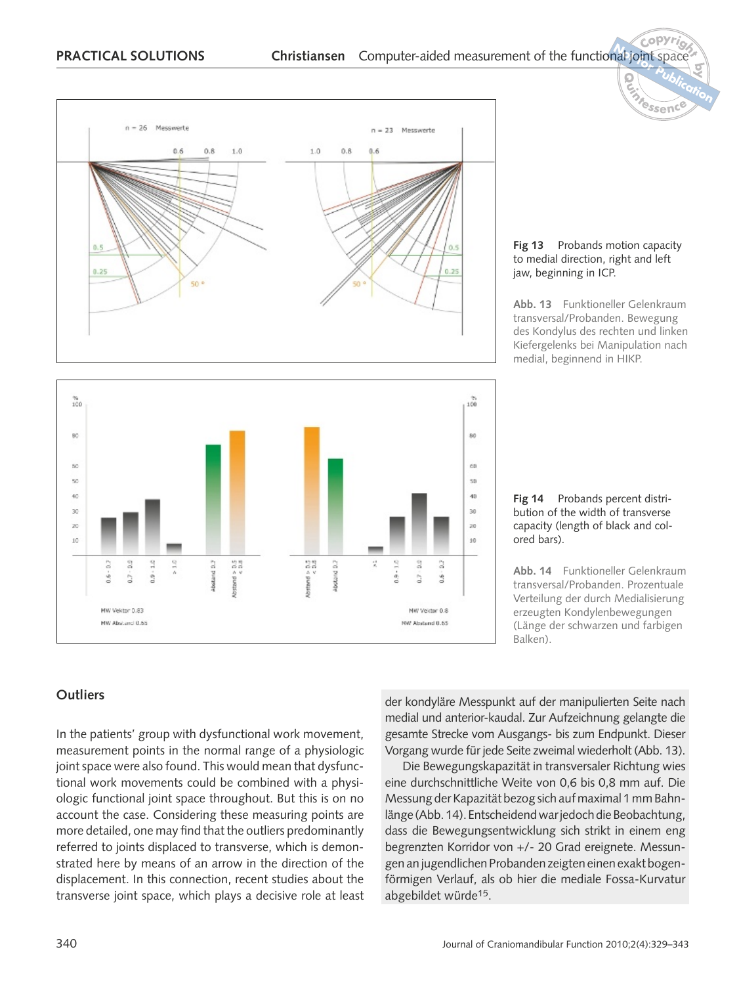



#### **Fig 13** Probands motion capacity to medial direction, right and left jaw, beginning in ICP.

**by**

**<sup>N</sup>o<sup>t</sup> <sup>r</sup> <sup>o</sup>f <sup>Q</sup>uintessenc<sup>e</sup> Publication**

**Abb. 13** Funktioneller Gelenkraum transversal/Probanden. Bewegung des Kondylus des rechten und linken Kiefergelenks bei Manipulation nach medial, beginnend in HIKP.

**Fig 14** Probands percent distribution of the width of transverse capacity (length of black and colored bars).

**Abb. 14** Funktioneller Gelenkraum transversal/Probanden. Prozentuale Verteilung der durch Medialisierung erzeugten Kondylenbewegungen (Länge der schwarzen und farbigen Balken).

#### **Outliers**

In the patients' group with dysfunctional work movement, measurement points in the normal range of a physiologic joint space were also found. This would mean that dysfunctional work movements could be combined with a physiologic functional joint space throughout. But this is on no account the case. Considering these measuring points are more detailed, one may find that the outliers predominantly referred to joints displaced to transverse, which is demonstrated here by means of an arrow in the direction of the displacement. In this connection, recent studies about the transverse joint space, which plays a decisive role at least der kondyläre Messpunkt auf der manipulierten Seite nach medial und anterior-kaudal. Zur Aufzeichnung gelangte die gesamte Strecke vom Ausgangs- bis zum Endpunkt. Dieser Vorgang wurde für jede Seite zweimal wiederholt (Abb. 13).

Die Bewegungskapazität in transversaler Richtung wies eine durchschnittliche Weite von 0,6 bis 0,8 mm auf. Die Messung der Kapazität bezog sich auf maximal 1 mm Bahnlänge (Abb. 14). Entscheidend war jedoch die Beobachtung, dass die Bewegungsentwicklung sich strikt in einem eng begrenzten Korridor von +/- 20 Grad ereignete. Messungen an jugendlichen Probanden zeigten einen exakt bogenförmigen Verlauf, als ob hier die mediale Fossa-Kurvatur abgebildet würde15.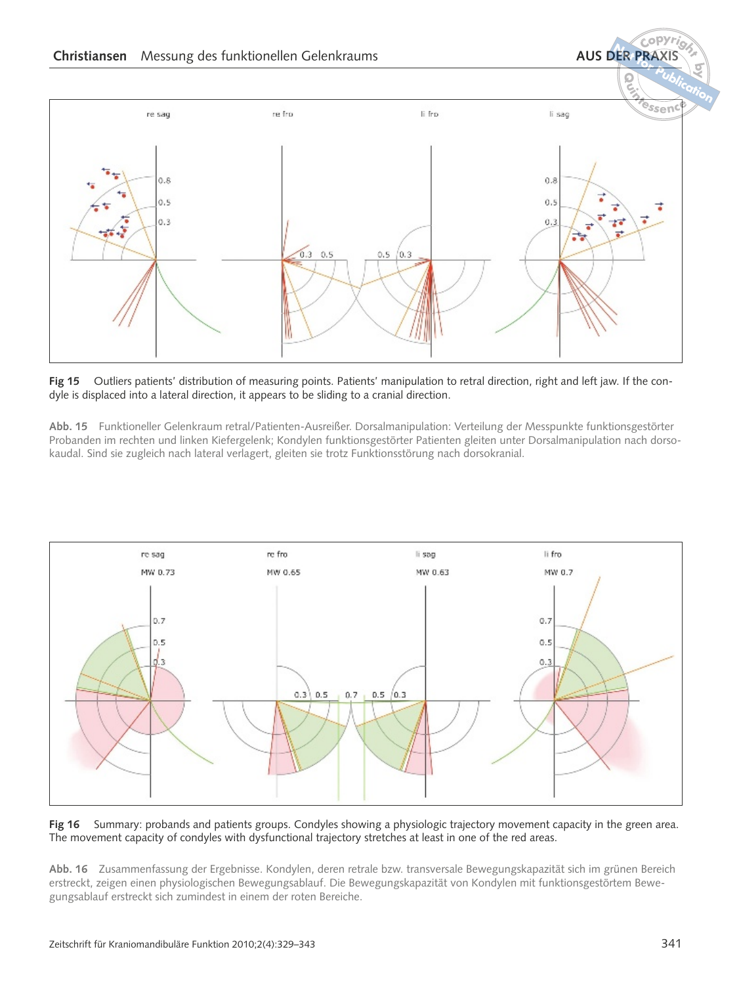**forby Publication<sup>N</sup>o<sup>t</sup> <sup>r</sup> <sup>o</sup>f <sup>Q</sup>uintessenc<sup>e</sup>** re fro li fero re sag li sag  $0.8$  $0.8$  $0.5$  $0.5$  $0.3$  $0.3$  $0.3$  $0.5$  $0.5$  $0.3$ 

**Fig 15** Outliers patients' distribution of measuring points. Patients' manipulation to retral direction, right and left jaw. If the condyle is displaced into a lateral direction, it appears to be sliding to a cranial direction.

**Abb. 15** Funktioneller Gelenkraum retral/Patienten-Ausreißer. Dorsalmanipulation: Verteilung der Messpunkte funktionsgestörter Probanden im rechten und linken Kiefergelenk; Kondylen funktionsgestörter Patienten gleiten unter Dorsalmanipulation nach dorsokaudal. Sind sie zugleich nach lateral verlagert, gleiten sie trotz Funktionsstörung nach dorsokranial.



**Fig 16** Summary: probands and patients groups. Condyles showing a physiologic trajectory movement capacity in the green area. The movement capacity of condyles with dysfunctional trajectory stretches at least in one of the red areas.

**Abb. 16** Zusammenfassung der Ergebnisse. Kondylen, deren retrale bzw. transversale Bewegungskapazität sich im grünen Bereich erstreckt, zeigen einen physiologischen Bewegungsablauf. Die Bewegungskapazität von Kondylen mit funktionsgestörtem Bewegungsablauf erstreckt sich zumindest in einem der roten Bereiche.

 $\frac{C^o P Y r}{\sigma}$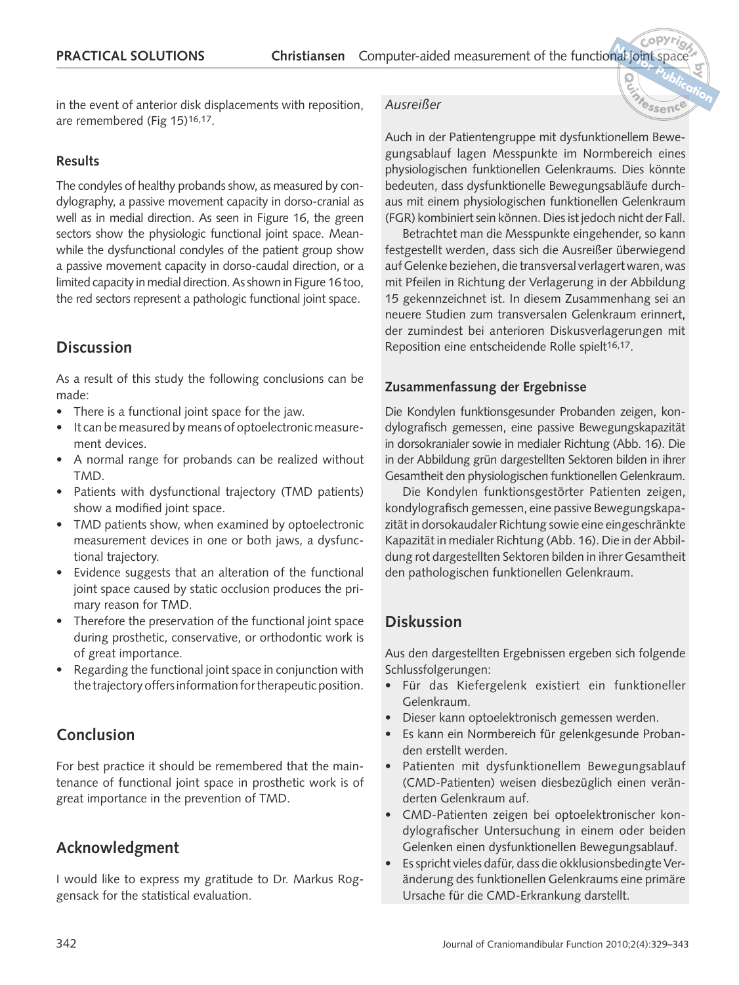in the event of anterior disk displacements with reposition, are remembered (Fig 15)16,17.

#### **Results**

The condyles of healthy probands show, as measured by condylography, a passive movement capacity in dorso-cranial as well as in medial direction. As seen in Figure 16, the green sectors show the physiologic functional joint space. Meanwhile the dysfunctional condyles of the patient group show a passive movement capacity in dorso-caudal direction, or a limited capacity in medial direction. As shown in Figure 16 too, the red sectors represent a pathologic functional joint space.

# **Discussion**

As a result of this study the following conclusions can be made:

- There is a functional joint space for the jaw.
- It can be measured by means of optoelectronic measurement devices.
- A normal range for probands can be realized without TMD.
- Patients with dysfunctional trajectory (TMD patients) show a modified joint space.
- TMD patients show, when examined by optoelectronic measurement devices in one or both jaws, a dysfunctional trajectory.
- Evidence suggests that an alteration of the functional joint space caused by static occlusion produces the primary reason for TMD.
- Therefore the preservation of the functional joint space during prosthetic, conservative, or orthodontic work is of great importance.
- Regarding the functional joint space in conjunction with the trajectory offers information for therapeutic position.

# **Conclusion**

For best practice it should be remembered that the maintenance of functional joint space in prosthetic work is of great importance in the prevention of TMD.

# **Acknowledgment**

I would like to express my gratitude to Dr. Markus Roggensack for the statistical evaluation.

#### *Ausreißer*

Auch in der Patientengruppe mit dysfunktionellem Bewegungsablauf lagen Messpunkte im Normbereich eines physiologischen funktionellen Gelenkraums. Dies könnte bedeuten, dass dysfunktionelle Bewegungsabläufe durchaus mit einem physiologischen funktionellen Gelenkraum (FGR) kombiniert sein können. Dies ist jedoch nicht der Fall.

**by**

 **Publication**

**<sup>N</sup>o<sup>t</sup> <sup>r</sup> <sup>o</sup>f <sup>Q</sup>uintessenc<sup>e</sup>**

Betrachtet man die Messpunkte eingehender, so kann festgestellt werden, dass sich die Ausreißer überwiegend auf Gelenke beziehen, die transversal verlagert waren, was mit Pfeilen in Richtung der Verlagerung in der Abbildung 15 gekennzeichnet ist. In diesem Zusammenhang sei an neuere Studien zum transversalen Gelenkraum erinnert, der zumindest bei anterioren Diskusverlagerungen mit Reposition eine entscheidende Rolle spielt<sup>16,17</sup>.

#### **Zusammenfassung der Ergebnisse**

Die Kondylen funktionsgesunder Probanden zeigen, kondylografisch gemessen, eine passive Bewegungskapazität in dorsokranialer sowie in medialer Richtung (Abb. 16). Die in der Abbildung grün dargestellten Sektoren bilden in ihrer Gesamtheit den physiologischen funktionellen Gelenkraum.

Die Kondylen funktionsgestörter Patienten zeigen, kondylografisch gemessen, eine passive Bewegungskapazität in dorsokaudaler Richtung sowie eine eingeschränkte Kapazität in medialer Richtung (Abb. 16). Die in der Abbildung rot dargestellten Sektoren bilden in ihrer Gesamtheit den pathologischen funktionellen Gelenkraum.

# **Diskussion**

Aus den dargestellten Ergebnissen ergeben sich folgende Schlussfolgerungen:

- Für das Kiefergelenk existiert ein funktioneller Gelenkraum.
- Dieser kann optoelektronisch gemessen werden.
- Es kann ein Normbereich für gelenkgesunde Probanden erstellt werden.
- Patienten mit dysfunktionellem Bewegungsablauf (CMD-Patienten) weisen diesbezüglich einen veränderten Gelenkraum auf.
- CMD-Patienten zeigen bei optoelektronischer kondylografischer Untersuchung in einem oder beiden Gelenken einen dysfunktionellen Bewegungsablauf.
- Es spricht vieles dafür, dass die okklusionsbedingte Veränderung des funktionellen Gelenkraums eine primäre Ursache für die CMD-Erkrankung darstellt.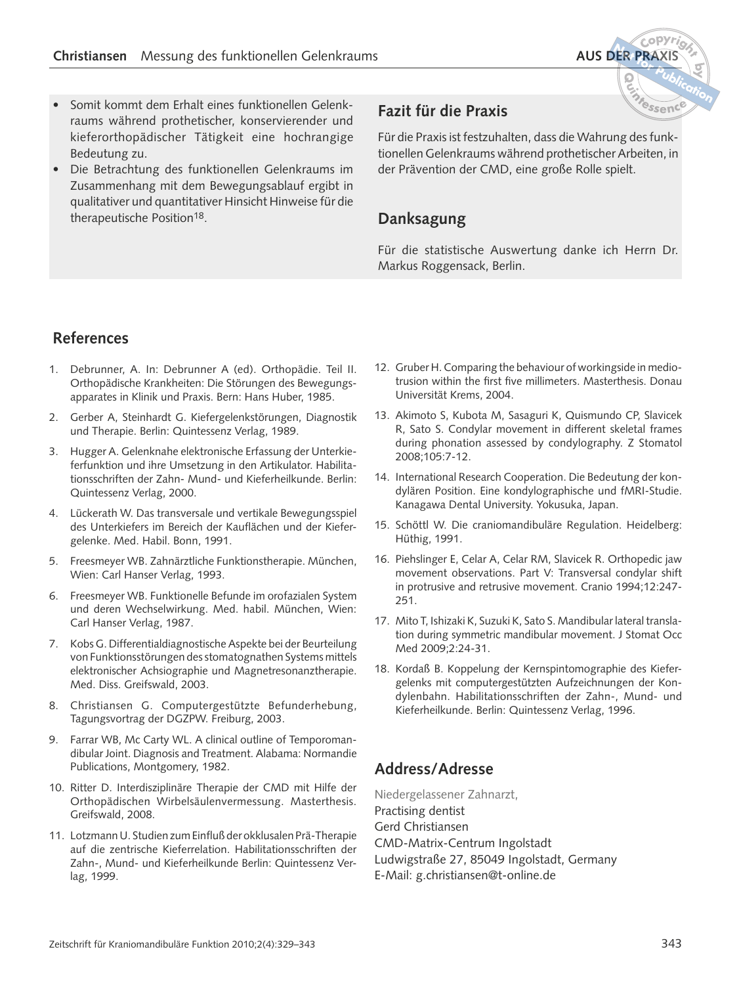- Somit kommt dem Erhalt eines funktionellen Gelenkraums während prothetischer, konservierender und kieferorthopädischer Tätigkeit eine hochrangige Bedeutung zu.
- Die Betrachtung des funktionellen Gelenkraums im Zusammenhang mit dem Bewegungsablauf ergibt in qualitativer und quantitativer Hinsicht Hinweise für die therapeutische Position<sup>18</sup>.

# **Fazit für die Praxis**

Für die Praxis ist festzuhalten, dass die Wahrung des funktionellen Gelenkraums während prothetischer Arbeiten, in der Prävention der CMD, eine große Rolle spielt.

# **Danksagung**

Für die statistische Auswertung danke ich Herrn Dr. Markus Roggensack, Berlin.

# **References**

- 1. Debrunner, A. In: Debrunner A (ed). Orthopädie. Teil II. Orthopädische Krankheiten: Die Störungen des Bewegungsapparates in Klinik und Praxis. Bern: Hans Huber, 1985.
- 2. Gerber A, Steinhardt G. Kiefergelenkstörungen, Diagnostik und Therapie. Berlin: Quintessenz Verlag, 1989.
- 3. Hugger A. Gelenknahe elektronische Erfassung der Unterkieferfunktion und ihre Umsetzung in den Artikulator. Habilitationsschriften der Zahn- Mund- und Kieferheilkunde. Berlin: Quintessenz Verlag, 2000.
- 4. Lückerath W. Das transversale und vertikale Bewegungsspiel des Unterkiefers im Bereich der Kauflächen und der Kiefergelenke. Med. Habil. Bonn, 1991.
- 5. Freesmeyer WB. Zahnärztliche Funktionstherapie. München, Wien: Carl Hanser Verlag, 1993.
- 6. Freesmeyer WB. Funktionelle Befunde im orofazialen System und deren Wechselwirkung. Med. habil. München, Wien: Carl Hanser Verlag, 1987.
- 7. Kobs G. Differentialdiagnostische Aspekte bei der Beurteilung von Funktionsstörungen des stomatognathen Systems mittels elektronischer Achsiographie und Magnetresonanztherapie. Med. Diss. Greifswald, 2003.
- 8. Christiansen G. Computergestützte Befunderhebung, Tagungsvortrag der DGZPW. Freiburg, 2003.
- 9. Farrar WB, Mc Carty WL. A clinical outline of Temporomandibular Joint. Diagnosis and Treatment. Alabama: Normandie Publications, Montgomery, 1982.
- 10. Ritter D. Interdisziplinäre Therapie der CMD mit Hilfe der Orthopädischen Wirbelsäulenvermessung. Masterthesis. Greifswald, 2008.
- 11. Lotzmann U. Studien zum Einfluß der okklusalen Prä-Therapie auf die zentrische Kieferrelation. Habilitationsschriften der Zahn-, Mund- und Kieferheilkunde Berlin: Quintessenz Verlag, 1999.
- 12. Gruber H. Comparing the behaviour of workingside in mediotrusion within the first five millimeters. Masterthesis. Donau Universität Krems, 2004.
- 13. Akimoto S, Kubota M, Sasaguri K, Quismundo CP, Slavicek R, Sato S. Condylar movement in different skeletal frames during phonation assessed by condylography. Z Stomatol 2008;105:7-12.
- 14. International Research Cooperation. Die Bedeutung der kondylären Position. Eine kondylographische und fMRI-Studie. Kanagawa Dental University. Yokusuka, Japan.
- 15. Schöttl W. Die craniomandibuläre Regulation. Heidelberg: Hüthig, 1991.
- 16. Piehslinger E, Celar A, Celar RM, Slavicek R. Orthopedic jaw movement observations. Part V: Transversal condylar shift in protrusive and retrusive movement. Cranio 1994;12:247- 251.
- 17. Mito T, Ishizaki K, Suzuki K, Sato S. Mandibular lateral translation during symmetric mandibular movement. J Stomat Occ Med 2009;2:24-31.
- 18. Kordaß B. Koppelung der Kernspintomographie des Kiefergelenks mit computergestützten Aufzeichnungen der Kondylenbahn. Habilitationsschriften der Zahn-, Mund- und Kieferheilkunde. Berlin: Quintessenz Verlag, 1996.

# **Address/Adresse**

Niedergelassener Zahnarzt, Practising dentist Gerd Christiansen CMD-Matrix-Centrum Ingolstadt Ludwigstraße 27, 85049 Ingolstadt, Germany E-Mail: g.christiansen@t-online.de